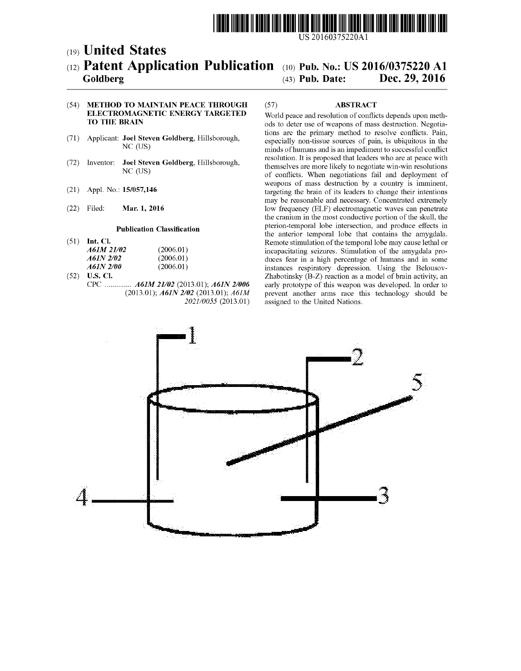

US 20160375220A1

### (19) United States (12) **Patent Application Publication** (10) Pub. No.: US 2016/0375220 A1 Goldberg (43) Pub. Date: Dec. 29, 2016 Goldberg

## Dec. 29, 2016

#### (54) METHOD TO MANTAIN PEACE THROUGH ELECTROMAGNETIC ENERGY TARGETED TO THE BRAIN

- (71) Applicant: Joel Steven Goldberg, Hillsborough, NC (US)
- (72) Inventor: Joel Steven Goldberg, Hillsborough, NC (US)
- (21) Appl. No.: 15/057,146
- (22) Mar. 1, 2016

#### Publication Classification

- $(51)$  Int. Cl. *A61M 21/02* (2006.01)<br>*A61N 2/02* (2006.01)  $\overline{A61N}$  2/02 (2006.01)<br> $\overline{A61N}$  2/00 (2006.01)  $A61N 2/00$
- $(52)$  **U.S. Cl.** CPC .............. A61M 21/02 (2013.01); A61N 2/006 (2013.01); A61N 2/02 (2013.01); A61M 2021/0055 (2013.01)

#### (57) ABSTRACT

World peace and resolution of conflicts depends upon meth ods to deter use of weapons of mass destruction. Negotiations are the primary method to resolve conflicts. Pain, especially non-tissue sources of pain, is ubiquitous in the minds of humans and is an impediment to successful conflict resolution. It is proposed that leaders who are at peace with themselves are more likely to negotiate win-win resolutions of conflicts. When negotiations fail and deployment of weapons of mass destruction by a country is imminent, targeting the brain of its leaders to change their intentions may be reasonable and necessary. Concentrated extremely low frequency (ELF) electromagnetic waves can penetrate the cranium in the most conductive portion of the skull, the pterion-temporal lobe intersection, and produce effects in the anterior temporal lobe that contains the amygdala. Remote stimulation of the temporal lobe may cause lethal or incapacitating seizures. Stimulation of the amygdala pro duces fear in a high percentage of humans and in some instances respiratory depression. Using the Belousov Zhabotinsky (B-Z) reaction as a model of brain activity, an early prototype of this weapon was developed. In order to prevent another arms race this technology should be assigned to the United Nations.

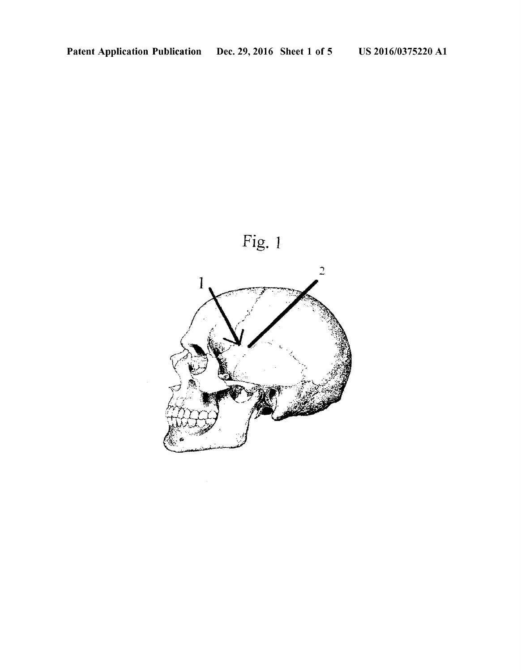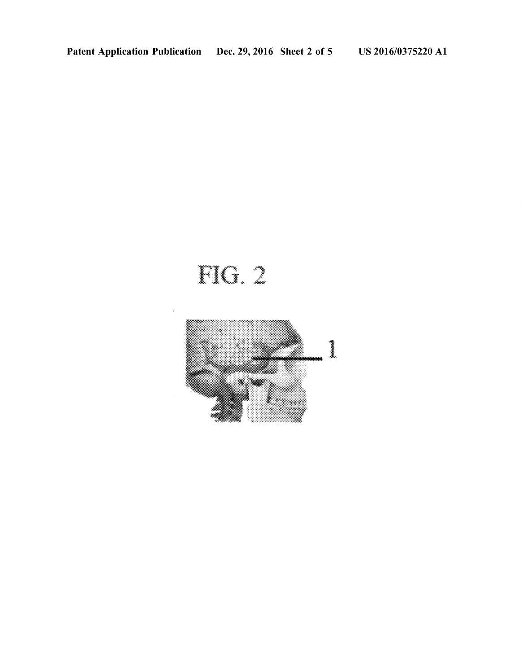# FIG. 2

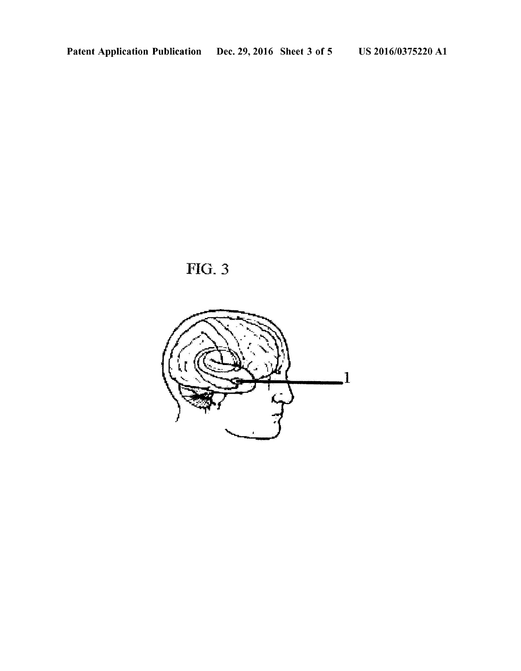

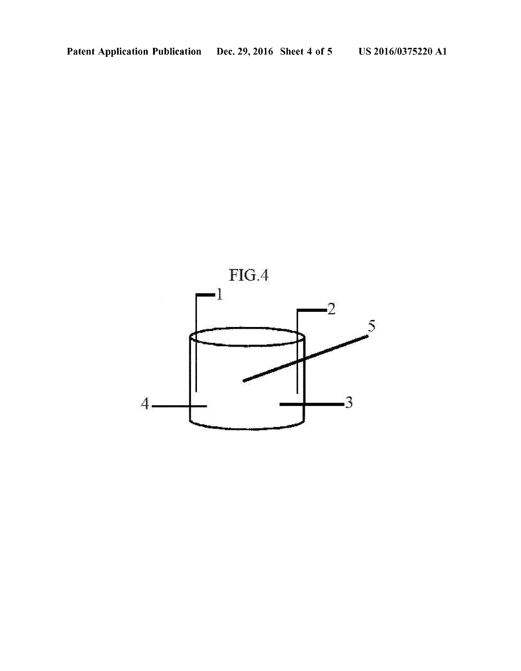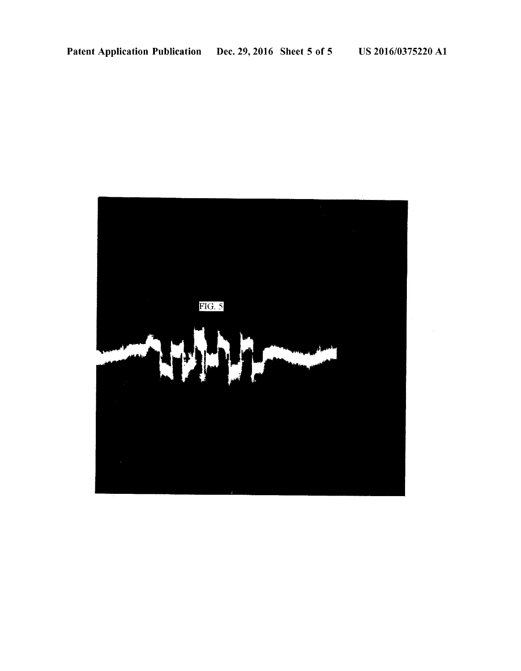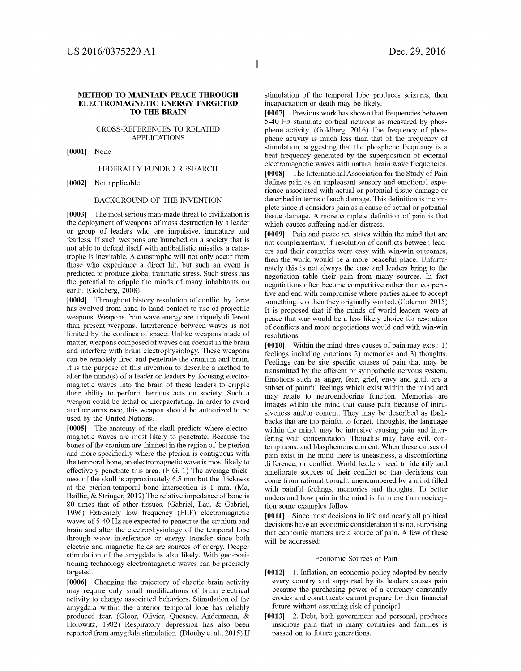#### METHOD TO MANTAIN PEACE THROUGH ELECTROMAGNETIC ENERGY TARGETED TO THE BRAIN

#### CROSS-REFERENCES TO RELATED APPLICATIONS

[0001] None

#### FEDERALLY FUNDED RESEARCH

[0002] Not applicable

#### BACKGROUND OF THE INVENTION

[0003] The most serious man-made threat to civilization is the deployment of weapons of mass destruction by a leader or group of leaders who are impulsive, immature and fearless. If such weapons are launched on a society that is not able to defend itself with antiballistic missiles a catas trophe is inevitable. A catastrophe will not only occur from those who experience a direct hit, but such an event is predicted to produce global traumatic stress. Such stress has the potential to cripple the minds of many inhabitants on earth. (Goldberg, 2008)

[0004] Throughout history resolution of conflict by force has evolved from hand to hand contact to use of projectile weapons. Weapons from wave energy are uniquely different than present weapons. Interference between waves is not limited by the confines of space. Unlike weapons made of matter, weapons composed of waves can coexist in the brain and interfere with brain electrophysiology. These weapons can be remotely fired and penetrate the cranium and brain. It is the purpose of this invention to describe a method to alter the mind(s) of a leader or leaders by focusing electro-<br>magnetic waves into the brain of these leaders to cripple their ability to perform heinous acts on society. Such a weapon could be lethal or incapacitating. In order to avoid another arms race, this weapon should be authorized to be used by the United Nations.

[0005] The anatomy of the skull predicts where electromagnetic waves are most likely to penetrate. Because the bones of the cranium are thinnest in the region of the pterion and more specifically where the pterion is contiguous with the temporal bone, an electromagnetic wave is most likely to effectively penetrate this area. (FIG. 1) The average thick ness of the skull is approximately 6.5 mm but the thickness at the pterion-temporal bone intersection is 1 mm. (Ma, Baillie, & Stringer, 2012) The relative impedance of bone is 80 times that of other tissues. (Gabriel, Lau, & Gabriel, 1996) Extremely low frequency (ELF) electromagnetic waves of 5-40 Hz are expected to penetrate the cranium and brain and alter the electrophysiology of the temporal lobe through wave interference or energy transfer since both electric and magnetic fields are sources of energy. Deeper stimulation of the amygdala is also likely. With geo-positioning technology electromagnetic waves can be precisely targeted.

[0006] Changing the trajectory of chaotic brain activity may require only small modifications of brain electrical activity to change associated behaviors. Stimulation of the amygdala within the anterior temporal lobe has reliably produced fear. (Gloor, Olivier, Quesney, Andermann, & Horowitz, 1982) Respiratory depression has also been reported from amygdala stimulation. (Dlouhy et al., 2015) If stimulation of the temporal lobe produces seizures, then incapacitation or death may be likely.

[0007] Previous work has shown that frequencies between 5-40 Hz stimulate cortical neurons as measured by phosphene activity. (Goldberg, 2016) The frequency of phosphene activity is much less than that of the frequency of stimulation, suggesting that the phosphene frequency is a beat frequency generated by the superposition of external electromagnetic waves with natural brain wave frequencies.

[0008] The International Association for the Study of Pain defines pain as an unpleasant sensory and emotional expe rience associated with actual or potential tissue damage or described in terms of such damage. This definition is incomplete since it considers pain as a cause of actual or potential tissue damage. A more complete definition of pain is that which causes suffering and/or distress.

[0009] Pain and peace are states within the mind that are not complementary. If resolution of conflicts between lead ers and their countries were easy with win-win outcomes, then the world would be a more peaceful place. Unfortu nately this is not always the case and leaders bring to the negotiation table their pain from many sources. In fact negotiations often become competitive rather than coopera tive and end with compromise where parties agree to accept something less then they originally wanted. (Coleman 2015) It is proposed that if the minds of world leaders were at peace that war would be a less likely choice for resolution of conflicts and more negotiations would end with win-win resolutions.

[0010] Within the mind three causes of pain may exist: 1) feelings including emotions 2) memories and 3) thoughts. Feelings can be site specific causes of pain that may be transmitted by the afferent or sympathetic nervous system. Emotions such as anger, fear, grief, envy and guilt are a subset of painful feelings which exist within the mind and may relate to neuroendocrine function. Memories are images within the mind that cause pain because of intru siveness and/or content. They may be described as flash backs that are too painful to forget. Thoughts, the language within the mind, may be intrusive causing pain and inter fering with concentration. Thoughts may have evil, con temptuous, and blasphemous content. When these causes of pain exist in the mind there is uneasiness, a discomforting difference, or conflict. World leaders need to identify and ameliorate sources of their conflict so that decisions can come from rational thought unencumbered by a mind filled with painful feelings, memories and thoughts. To better understand how pain in the mind is far more than nociception some examples follow:

[0011] Since most decisions in life and nearly all political decisions have an economic consideration it is not surprising that economic matters are a source of pain. A few of these will be addressed:

#### Economic Sources of Pain

- [0012] 1. Inflation, an economic policy adopted by nearly every country and supported by its leaders causes pain because the purchasing power of a currency constantly erodes and constituents cannot prepare for their financial future without assuming risk of principal.
- [0013] 2. Debt, both government and personal, produces insidious pain that in many countries and families is passed on to future generations.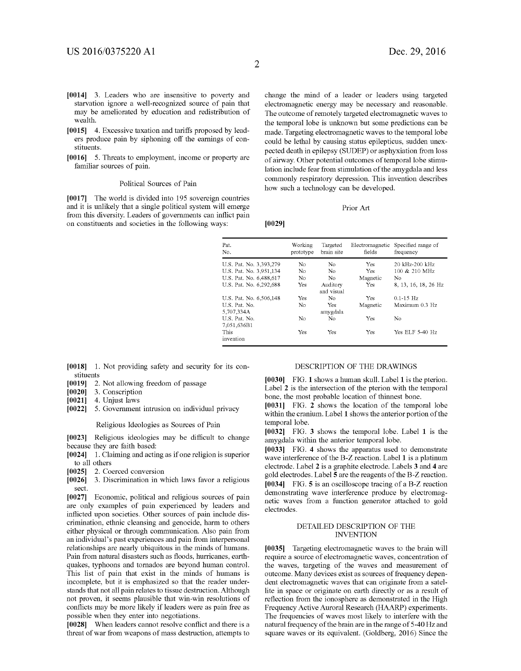- [0014] 3. Leaders who are insensitive to poverty and starvation ignore a well-recognized source of pain that may be ameliorated by education and redistribution of wealth.
- [0015] 4. Excessive taxation and tariffs proposed by leaders produce pain by siphoning off the earnings of con stituents.
- [0016] 5. Threats to employment, income or property are familiar sources of pain.

#### Political Sources of Pain

[0017] The world is divided into 195 sovereign countries and it is unlikely that a single political system will emerge from this diversity. Leaders of governments can inflict pain on constituents and Societies in the following ways:

change the mind of a leader or leaders using targeted electromagnetic energy may be necessary and reasonable. The outcome of remotely targeted electromagnetic waves to the temporal lobe is unknown but some predictions can be made. Targeting electromagnetic waves to the temporal lobe could be lethal by causing status epilepticus, sudden unexpected death in epilepsy (SUDEP) or asphyxiation from loss of airway. Other potential outcomes of temporal lobe stimulation include fear from stimulation of the amygdala and less commonly respiratory depression. This invention describes how Such a technology can be developed.

#### Prior Art

0029)

| Pat.<br>No.                  | Working<br>prototype | Targeted<br>brain site | Electromagnetic<br>fields | Specified range of<br>frequency |
|------------------------------|----------------------|------------------------|---------------------------|---------------------------------|
| U.S. Pat. No. 3,393,279      | No                   | No                     | <b>Yes</b>                | 20 kHz-200 kHz                  |
| U.S. Pat. No. 3,951,134      | No                   | No                     | Yes                       | 100 & 210 MHz                   |
| U.S. Pat. No. 6,488,617      | N <sub>o</sub>       | N <sub>o</sub>         | Magnetic                  | No                              |
| U.S. Pat. No. 6,292,688      | Yes                  | Auditory<br>and visual | Yes                       | 8, 13, 16, 18, 26 Hz            |
| U.S. Pat. No. 6,506,148      | Yes                  | No                     | Yes                       | $0.1 - 15$ Hz                   |
| U.S. Pat. No.<br>5,707,334A  | No                   | Yes<br>amygdala        | Magnetic                  | Maximum 0.3 Hz                  |
| U.S. Pat. No.<br>7.051.636B1 | No                   | No                     | Yes                       | No                              |
| This<br>invention            | Yes                  | Yes                    | Yes                       | Yes ELF 5-40 Hz                 |

- [0018] 1. Not providing safety and security for its constituents
- [0019] 2. Not allowing freedom of passage [0020] 3. Conscription
- $[0020]$  3. Conscription<br> $[0021]$  4. Unjust laws
- 4. Unjust laws
- [0022] 5. Government intrusion on individual privacy

Religious Ideologies as Sources of Pain

[0023] Religious ideologies may be difficult to change because they are faith based:

- [0024] 1. Claiming and acting as if one religion is superior to all others
- [0025] 2. Coerced conversion
- $[0026]$  3. Discrimination in which laws favor a religious Sect.

[0027] Economic, political and religious sources of pain are only examples of pain experienced by leaders and inflicted upon societies. Other sources of pain include dis crimination, ethnic cleansing and genocide, harm to others either physical or through communication. Also pain from an individual's past experiences and pain from interpersonal relationships are nearly ubiquitous in the minds of humans. Pain from natural disasters such as floods, hurricanes, earth quakes, typhoons and tornados are beyond human control. This list of pain that exist in the minds of humans is incomplete, but it is emphasized so that the reader under stands that not all pain relates to tissue destruction. Although not proven, it seems plausible that win-win resolutions of conflicts may be more likely if leaders were as pain free as possible when they enter into negotiations.

[0028] When leaders cannot resolve conflict and there is a threat of war from weapons of mass destruction, attempts to

#### DESCRIPTION OF THE DRAWINGS

0030 FIG. 1 shows a human skull. Label 1 is the pterion. Label 2 is the intersection of the pterion with the temporal bone, the most probable location of thinnest bone.

[0031] FIG. 2 shows the location of the temporal lobe within the cranium. Label 1 shows the anterior portion of the temporal lobe.

[0032] FIG. 3 shows the temporal lobe. Label 1 is the amygdala within the anterior temporal lobe.

[0033] FIG. 4 shows the apparatus used to demonstrate wave interference of the B-Z reaction. Label 1 is a platinum electrode. Label 2 is a graphite electrode. Labels 3 and 4 are gold electrodes. Label 5 are the reagents of the B-Z reaction. [0034] FIG. 5 is an oscilloscope tracing of a B-Z reaction demonstrating wave interference produce by electromag netic waves from a function generator attached to gold electrodes.

#### DETAILED DESCRIPTION OF THE INVENTION

[0035] Targeting electromagnetic waves to the brain will require a source of electromagnetic waves, concentration of the waves, targeting of the waves and measurement of outcome. Many devices exist as sources of frequency depen dent electromagnetic waves that can originate from a satel lite in space or originate on earth directly or as a result of reflection from the ionosphere as demonstrated in the High Frequency Active Auroral Research (HAARP) experiments. The frequencies of waves most likely to interfere with the natural frequency of the brain are in the range of 5-40 Hz and square waves or its equivalent. (Goldberg, 2016) Since the